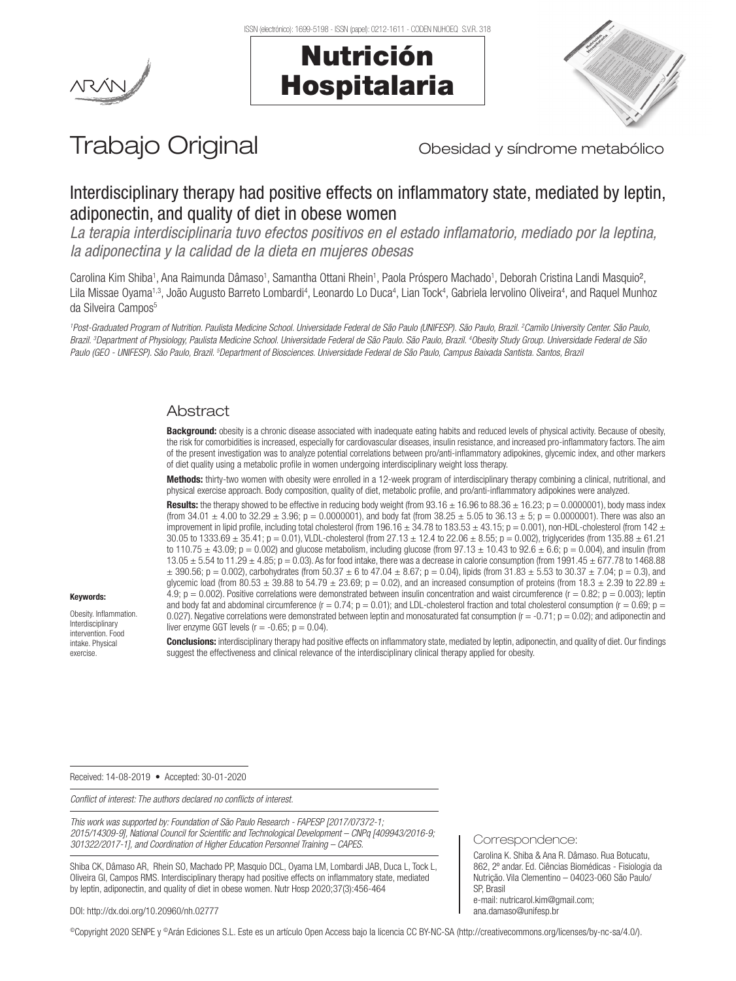





# Trabajo Original **Trabajo Original** Obesidad y síndrome metabólico

# Interdisciplinary therapy had positive effects on inflammatory state, mediated by leptin, adiponectin, and quality of diet in obese women

*La terapia interdisciplinaria tuvo efectos positivos en el estado inflamatorio, mediado por la leptina, la adiponectina y la calidad de la dieta en mujeres obesas*

Carolina Kim Shiba<sup>1</sup>, Ana Raimunda Dâmaso<sup>1</sup>, Samantha Ottani Rhein<sup>1</sup>, Paola Próspero Machado<sup>1</sup>, Deborah Cristina Landi Masquio<sup>2</sup>, Lila Missae Oyama1.3, João Augusto Barreto Lombardi<sup>4</sup>, Leonardo Lo Duca<sup>4</sup>, Lian Tock<sup>4</sup>, Gabriela Iervolino Oliveira<sup>4</sup>, and Raquel Munhoz da Silveira Campos<sup>5</sup>

*1 Post-Graduated Program of Nutrition. Paulista Medicine School. Universidade Federal de São Paulo (UNIFESP). São Paulo, Brazil. 2 Camilo University Center. São Paulo, Brazil. 3 Department of Physiology, Paulista Medicine School. Universidade Federal de São Paulo. São Paulo, Brazil. 4 Obesity Study Group. Universidade Federal de São*  Paulo (GEO - UNIFESP). São Paulo, Brazil. <sup>s</sup>Department of Biosciences. Universidade Federal de São Paulo, Campus Baixada Santista. Santos, Brazi

# Abstract

Background: obesity is a chronic disease associated with inadequate eating habits and reduced levels of physical activity. Because of obesity, the risk for comorbidities is increased, especially for cardiovascular diseases, insulin resistance, and increased pro-inflammatory factors. The aim of the present investigation was to analyze potential correlations between pro/anti-inflammatory adipokines, glycemic index, and other markers of diet quality using a metabolic profile in women undergoing interdisciplinary weight loss therapy.

Methods: thirty-two women with obesity were enrolled in a 12-week program of interdisciplinary therapy combining a clinical, nutritional, and physical exercise approach. Body composition, quality of diet, metabolic profile, and pro/anti-inflammatory adipokines were analyzed.

**Results:** the therapy showed to be effective in reducing body weight (from  $93.16 \pm 16.96$  to  $88.36 \pm 16.23$ ;  $p = 0.0000001$ ), body mass index (from 34.01  $\pm$  4.00 to 32.29  $\pm$  3.96; p = 0.0000001), and body fat (from 38.25  $\pm$  5.05 to 36.13  $\pm$  5; p = 0.0000001). There was also an improvement in lipid profile, including total cholesterol (from 196.16  $\pm$  34.78 to 183.53  $\pm$  43.15; p = 0.001), non-HDL-cholesterol (from 142  $\pm$ 30.05 to 1333.69  $\pm$  35.41; p = 0.01), VLDL-cholesterol (from 27.13  $\pm$  12.4 to 22.06  $\pm$  8.55; p = 0.002), triglycerides (from 135.88  $\pm$  61.21 to 110.75  $\pm$  43.09; p = 0.002) and glucose metabolism, including glucose (from 97.13  $\pm$  10.43 to 92.6  $\pm$  6.6; p = 0.004), and insulin (from  $13.05 \pm 5.54$  to  $11.29 \pm 4.85$ ;  $p = 0.03$ ). As for food intake, there was a decrease in calorie consumption (from 1991.45  $\pm$  677.78 to 1468.88  $\pm$  390.56; p = 0.002), carbohydrates (from 50.37  $\pm$  6 to 47.04  $\pm$  8.67; p = 0.04), lipids (from 31.83  $\pm$  5.53 to 30.37  $\pm$  7.04; p = 0.3), and glycemic load (from 80.53  $\pm$  39.88 to 54.79  $\pm$  23.69; p = 0.02), and an increased consumption of proteins (from 18.3  $\pm$  2.39 to 22.89  $\pm$ 4.9;  $p = 0.002$ ). Positive correlations were demonstrated between insulin concentration and waist circumference ( $r = 0.82$ ;  $p = 0.003$ ); leptin and body fat and abdominal circumference ( $r = 0.74$ ;  $p = 0.01$ ); and LDL-cholesterol fraction and total cholesterol consumption ( $r = 0.69$ ;  $p =$ 0.027). Negative correlations were demonstrated between leptin and monosaturated fat consumption  $(r = -0.71; p = 0.02)$ ; and adiponectin and liver enzyme GGT levels ( $r = -0.65$ ;  $p = 0.04$ ).

Conclusions: interdisciplinary therapy had positive effects on inflammatory state, mediated by leptin, adiponectin, and quality of diet. Our findings suggest the effectiveness and clinical relevance of the interdisciplinary clinical therapy applied for obesity.

Received: 14-08-2019 • Accepted: 30-01-2020

Keywords: Obesity. Inflammation. Interdisciplinary intervention. Food intake. Physical exercise.

*Conflict of interest: The authors declared no conflicts of interest.*

*This work was supported by: Foundation of São Paulo Research - FAPESP [2017/07372-1; 2015/14309-9], National Council for Scientific and Technological Development – CNPq [409943/2016-9; 301322/2017-1], and Coordination of Higher Education Personnel Training – CAPES.*

Shiba CK, Dâmaso AR, Rhein SO, Machado PP, Masquio DCL, Oyama LM, Lombardi JAB, Duca L, Tock L, Oliveira GI, Campos RMS. Interdisciplinary therapy had positive effects on inflammatory state, mediated by leptin, adiponectin, and quality of diet in obese women. Nutr Hosp 2020;37(3):456-464

DOI: http://dx.doi.org/10.20960/nh.02777

©Copyright 2020 SENPE y ©Arán Ediciones S.L. Este es un artículo Open Access bajo la licencia CC BY-NC-SA (http://creativecommons.org/licenses/by-nc-sa/4.0/).

Correspondence:

Carolina K. Shiba & Ana R. Dâmaso. Rua Botucatu, 862, 2º andar. Ed. Ciências Biomédicas - Fisiologia da Nutrição. Vila Clementino – 04023-060 São Paulo/ SP, Brasil e-mail: nutricarol.kim@gmail.com; ana.damaso@unifesp.br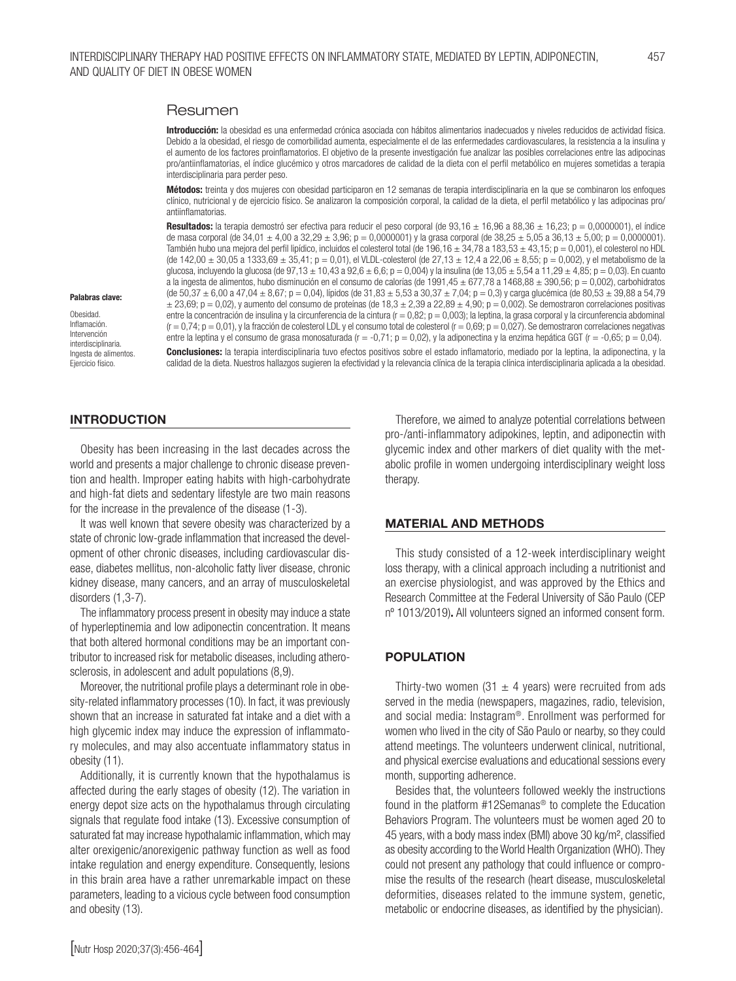#### Resumen

Introducción: la obesidad es una enfermedad crónica asociada con hábitos alimentarios inadecuados y niveles reducidos de actividad física. Debido a la obesidad, el riesgo de comorbilidad aumenta, especialmente el de las enfermedades cardiovasculares, la resistencia a la insulina y el aumento de los factores proinflamatorios. El objetivo de la presente investigación fue analizar las posibles correlaciones entre las adipocinas pro/antiinflamatorias, el índice glucémico y otros marcadores de calidad de la dieta con el perfil metabólico en mujeres sometidas a terapia interdisciplinaria para perder peso.

Métodos: treinta y dos mujeres con obesidad participaron en 12 semanas de terapia interdisciplinaria en la que se combinaron los enfoques clínico, nutricional y de ejercicio físico. Se analizaron la composición corporal, la calidad de la dieta, el perfil metabólico y las adipocinas pro/ antiinflamatorias.

**Resultados:** la terapia demostró ser efectiva para reducir el peso corporal (de 93,16  $\pm$  16,96 a 88,36  $\pm$  16,23; p = 0,0000001), el índice de masa corporal (de 34,01  $\pm$  4,00 a 32,29  $\pm$  3,96; p = 0,0000001) y la grasa corporal (de 38,25  $\pm$  5,05 a 36,13  $\pm$  5,00; p = 0,0000001). También hubo una mejora del perfil lipídico, incluidos el colesterol total (de 196,16 ± 34,78 a 183,53 ± 43,15; p = 0,001), el colesterol no HDL (de  $142,00 \pm 30,05$  a  $1333,69 \pm 35,41$ ; p = 0,01), el VLDL-colesterol (de  $27,13 \pm 12,4$  a  $22,06 \pm 8,55$ ; p = 0,002), y el metabolismo de la glucosa, incluyendo la glucosa (de 97,13 ± 10,43 a 92,6 ± 6,6; p = 0,004) y la insulina (de 13,05 ± 5,54 a 11,29 ± 4,85; p = 0,03). En cuanto a la ingesta de alimentos, hubo disminución en el consumo de calorías (de 1991,45 ± 677,78 a 1468,88 ± 390,56; p = 0,002), carbohidratos (de  $50,37 \pm 6,00$  a  $47,04 \pm 8,67$ ; p = 0,04), lípidos (de  $31,83 \pm 5,53$  a  $30,37 \pm 7,04$ ; p = 0,3) y carga glucémica (de 80,53  $\pm$  39,88 a 54,79  $\pm$  23,69; p = 0,02), y aumento del consumo de proteínas (de 18,3  $\pm$  2,39 a 22,89  $\pm$  4,90; p = 0,002). Se demostraron correlaciones positivas entre la concentración de insulina y la circunferencia de la cintura (r = 0,82; p = 0,003); la leptina, la grasa corporal y la circunferencia abdominal  $(r = 0.74; p = 0.01)$ , y la fracción de colesterol LDL y el consumo total de colesterol  $(r = 0.69; p = 0.027)$ . Se demostraron correlaciones negativas entre la leptina y el consumo de grasa monosaturada (r = -0,71; p = 0,02), y la adiponectina y la enzima hepática GGT (r = -0,65; p = 0,04).

Conclusiones: la terapia interdisciplinaria tuvo efectos positivos sobre el estado inflamatorio, mediado por la leptina, la adiponectina, y la calidad de la dieta. Nuestros hallazgos sugieren la efectividad y la relevancia clínica de la terapia clínica interdisciplinaria aplicada a la obesidad.

#### INTRODUCTION

Palabras clave: Obesidad. Inflamación. Intervención interdisciplinaria. Ingesta de alimentos. Ejercicio físico.

Obesity has been increasing in the last decades across the world and presents a major challenge to chronic disease prevention and health. Improper eating habits with high-carbohydrate and high-fat diets and sedentary lifestyle are two main reasons for the increase in the prevalence of the disease (1-3).

It was well known that severe obesity was characterized by a state of chronic low-grade inflammation that increased the development of other chronic diseases, including cardiovascular disease, diabetes mellitus, non-alcoholic fatty liver disease, chronic kidney disease, many cancers, and an array of musculoskeletal disorders (1,3-7).

The inflammatory process present in obesity may induce a state of hyperleptinemia and low adiponectin concentration. It means that both altered hormonal conditions may be an important contributor to increased risk for metabolic diseases, including atherosclerosis, in adolescent and adult populations (8,9).

Moreover, the nutritional profile plays a determinant role in obesity-related inflammatory processes (10). In fact, it was previously shown that an increase in saturated fat intake and a diet with a high glycemic index may induce the expression of inflammatory molecules, and may also accentuate inflammatory status in obesity (11).

Additionally, it is currently known that the hypothalamus is affected during the early stages of obesity (12). The variation in energy depot size acts on the hypothalamus through circulating signals that regulate food intake (13). Excessive consumption of saturated fat may increase hypothalamic inflammation, which may alter orexigenic/anorexigenic pathway function as well as food intake regulation and energy expenditure. Consequently, lesions in this brain area have a rather unremarkable impact on these parameters, leading to a vicious cycle between food consumption and obesity (13).

Therefore, we aimed to analyze potential correlations between pro-/anti-inflammatory adipokines, leptin, and adiponectin with glycemic index and other markers of diet quality with the metabolic profile in women undergoing interdisciplinary weight loss therapy.

#### MATERIAL AND METHODS

This study consisted of a 12-week interdisciplinary weight loss therapy, with a clinical approach including a nutritionist and an exercise physiologist, and was approved by the Ethics and Research Committee at the Federal University of São Paulo (CEP nº 1013/2019). All volunteers signed an informed consent form.

#### POPULATION

Thirty-two women (31  $\pm$  4 years) were recruited from ads served in the media (newspapers, magazines, radio, television, and social media: Instagram®. Enrollment was performed for women who lived in the city of São Paulo or nearby, so they could attend meetings. The volunteers underwent clinical, nutritional, and physical exercise evaluations and educational sessions every month, supporting adherence.

Besides that, the volunteers followed weekly the instructions found in the platform #12Semanas® to complete the Education Behaviors Program. The volunteers must be women aged 20 to 45 years, with a body mass index (BMI) above 30 kg/m², classified as obesity according to the World Health Organization (WHO). They could not present any pathology that could influence or compromise the results of the research (heart disease, musculoskeletal deformities, diseases related to the immune system, genetic, metabolic or endocrine diseases, as identified by the physician).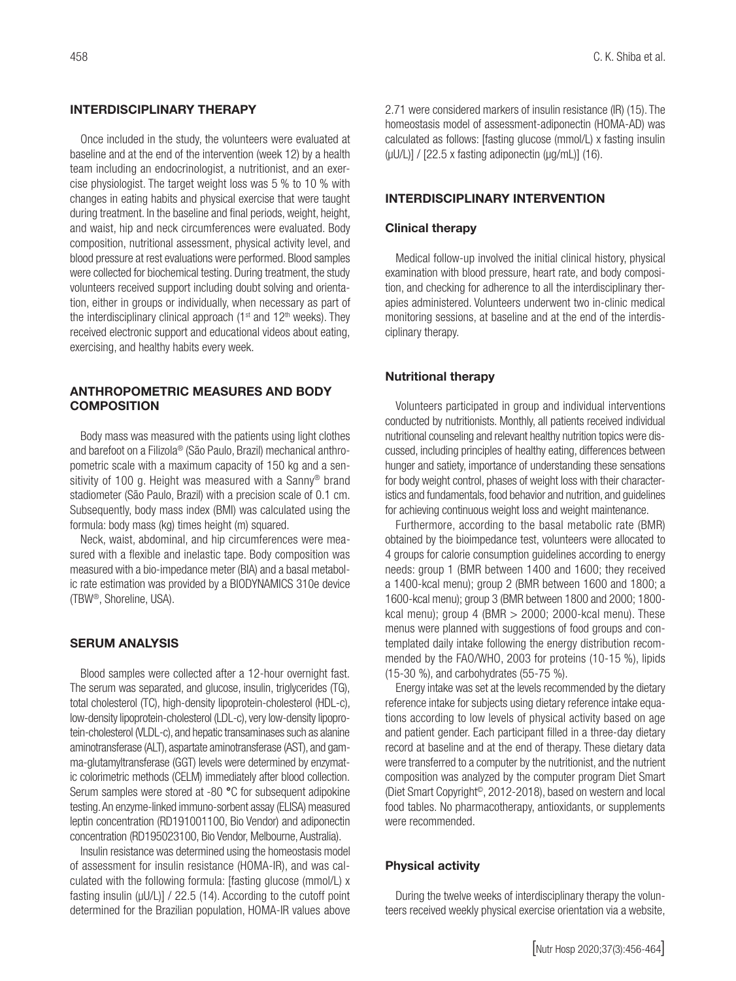#### INTERDISCIPLINARY THERAPY

Once included in the study, the volunteers were evaluated at baseline and at the end of the intervention (week 12) by a health team including an endocrinologist, a nutritionist, and an exercise physiologist. The target weight loss was 5 % to 10 % with changes in eating habits and physical exercise that were taught during treatment. In the baseline and final periods, weight, height, and waist, hip and neck circumferences were evaluated. Body composition, nutritional assessment, physical activity level, and blood pressure at rest evaluations were performed. Blood samples were collected for biochemical testing. During treatment, the study volunteers received support including doubt solving and orientation, either in groups or individually, when necessary as part of the interdisciplinary clinical approach ( $1<sup>st</sup>$  and  $12<sup>th</sup>$  weeks). They received electronic support and educational videos about eating, exercising, and healthy habits every week.

## ANTHROPOMETRIC MEASURES AND BODY **COMPOSITION**

Body mass was measured with the patients using light clothes and barefoot on a Filizola® (São Paulo, Brazil) mechanical anthropometric scale with a maximum capacity of 150 kg and a sensitivity of 100 g. Height was measured with a Sanny<sup>®</sup> brand stadiometer (São Paulo, Brazil) with a precision scale of 0.1 cm. Subsequently, body mass index (BMI) was calculated using the formula: body mass (kg) times height (m) squared.

Neck, waist, abdominal, and hip circumferences were measured with a flexible and inelastic tape. Body composition was measured with a bio-impedance meter (BIA) and a basal metabolic rate estimation was provided by a BIODYNAMICS 310e device (TBW®, Shoreline, USA).

# SERUM ANALYSIS

Blood samples were collected after a 12-hour overnight fast. The serum was separated, and glucose, insulin, triglycerides (TG), total cholesterol (TC), high-density lipoprotein-cholesterol (HDL-c), low-density lipoprotein-cholesterol (LDL-c), very low-density lipoprotein-cholesterol (VLDL-c), and hepatic transaminases such as alanine aminotransferase (ALT), aspartate aminotransferase (AST), and gamma-glutamyltransferase (GGT) levels were determined by enzymatic colorimetric methods (CELM) immediately after blood collection. Serum samples were stored at -80 °C for subsequent adipokine testing. An enzyme-linked immuno-sorbent assay (ELISA) measured leptin concentration (RD191001100, Bio Vendor) and adiponectin concentration (RD195023100, Bio Vendor, Melbourne, Australia).

Insulin resistance was determined using the homeostasis model of assessment for insulin resistance (HOMA-IR), and was calculated with the following formula: [fasting glucose (mmol/L) x fasting insulin ( $\mu$ U/L)] / 22.5 (14). According to the cutoff point determined for the Brazilian population, HOMA-IR values above

2.71 were considered markers of insulin resistance (IR) (15). The homeostasis model of assessment-adiponectin (HOMA-AD) was calculated as follows: [fasting glucose (mmol/L) x fasting insulin  $(uU/L)$ ] / [22.5 x fasting adiponectin  $(uq/mL)$ ] (16).

#### INTERDISCIPLINARY INTERVENTION

#### Clinical therapy

Medical follow-up involved the initial clinical history, physical examination with blood pressure, heart rate, and body composition, and checking for adherence to all the interdisciplinary therapies administered. Volunteers underwent two in-clinic medical monitoring sessions, at baseline and at the end of the interdisciplinary therapy.

#### Nutritional therapy

Volunteers participated in group and individual interventions conducted by nutritionists. Monthly, all patients received individual nutritional counseling and relevant healthy nutrition topics were discussed, including principles of healthy eating, differences between hunger and satiety, importance of understanding these sensations for body weight control, phases of weight loss with their characteristics and fundamentals, food behavior and nutrition, and guidelines for achieving continuous weight loss and weight maintenance.

Furthermore, according to the basal metabolic rate (BMR) obtained by the bioimpedance test, volunteers were allocated to 4 groups for calorie consumption guidelines according to energy needs: group 1 (BMR between 1400 and 1600; they received a 1400-kcal menu); group 2 (BMR between 1600 and 1800; a 1600-kcal menu); group 3 (BMR between 1800 and 2000; 1800 kcal menu); group 4 (BMR  $>$  2000; 2000-kcal menu). These menus were planned with suggestions of food groups and contemplated daily intake following the energy distribution recommended by the FAO/WHO, 2003 for proteins (10-15 %), lipids (15-30 %), and carbohydrates (55-75 %).

Energy intake was set at the levels recommended by the dietary reference intake for subjects using dietary reference intake equations according to low levels of physical activity based on age and patient gender. Each participant filled in a three-day dietary record at baseline and at the end of therapy. These dietary data were transferred to a computer by the nutritionist, and the nutrient composition was analyzed by the computer program Diet Smart (Diet Smart Copyright©, 2012-2018), based on western and local food tables. No pharmacotherapy, antioxidants, or supplements were recommended.

#### Physical activity

During the twelve weeks of interdisciplinary therapy the volunteers received weekly physical exercise orientation via a website,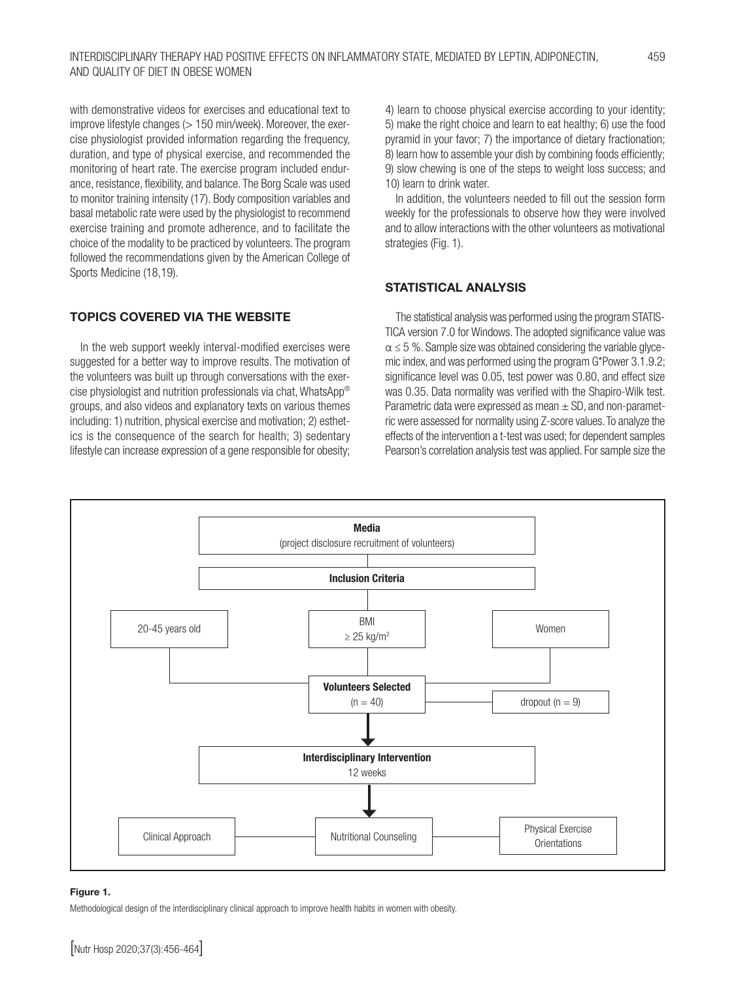with demonstrative videos for exercises and educational text to improve lifestyle changes (> 150 min/week). Moreover, the exercise physiologist provided information regarding the frequency, duration, and type of physical exercise, and recommended the monitoring of heart rate. The exercise program included endurance, resistance, flexibility, and balance. The Borg Scale was used to monitor training intensity (17). Body composition variables and basal metabolic rate were used by the physiologist to recommend exercise training and promote adherence, and to facilitate the choice of the modality to be practiced by volunteers. The program followed the recommendations given by the American College of Sports Medicine (18,19).

## TOPICS COVERED VIA THE WEBSITE

In the web support weekly interval-modified exercises were suggested for a better way to improve results. The motivation of the volunteers was built up through conversations with the exercise physiologist and nutrition professionals via chat, WhatsApp® groups, and also videos and explanatory texts on various themes including: 1) nutrition, physical exercise and motivation; 2) esthetics is the consequence of the search for health; 3) sedentary lifestyle can increase expression of a gene responsible for obesity;

4) learn to choose physical exercise according to your identity; 5) make the right choice and learn to eat healthy; 6) use the food pyramid in your favor; 7) the importance of dietary fractionation; 8) learn how to assemble your dish by combining foods efficiently; 9) slow chewing is one of the steps to weight loss success; and 10) learn to drink water.

In addition, the volunteers needed to fill out the session form weekly for the professionals to observe how they were involved and to allow interactions with the other volunteers as motivational strategies (Fig. 1).

#### STATISTICAL ANALYSIS

The statistical analysis was performed using the program STATIS-TICA version 7.0 for Windows. The adopted significance value was  $\alpha \leq 5$  %. Sample size was obtained considering the variable glycemic index, and was performed using the program G\*Power 3.1.9.2; significance level was 0.05, test power was 0.80, and effect size was 0.35. Data normality was verified with the Shapiro-Wilk test. Parametric data were expressed as mean  $\pm$  SD, and non-parametric were assessed for normality using Z-score values. To analyze the effects of the intervention a t-test was used; for dependent samples Pearson's correlation analysis test was applied. For sample size the



#### Figure 1.

Methodological design of the interdisciplinary clinical approach to improve health habits in women with obesity.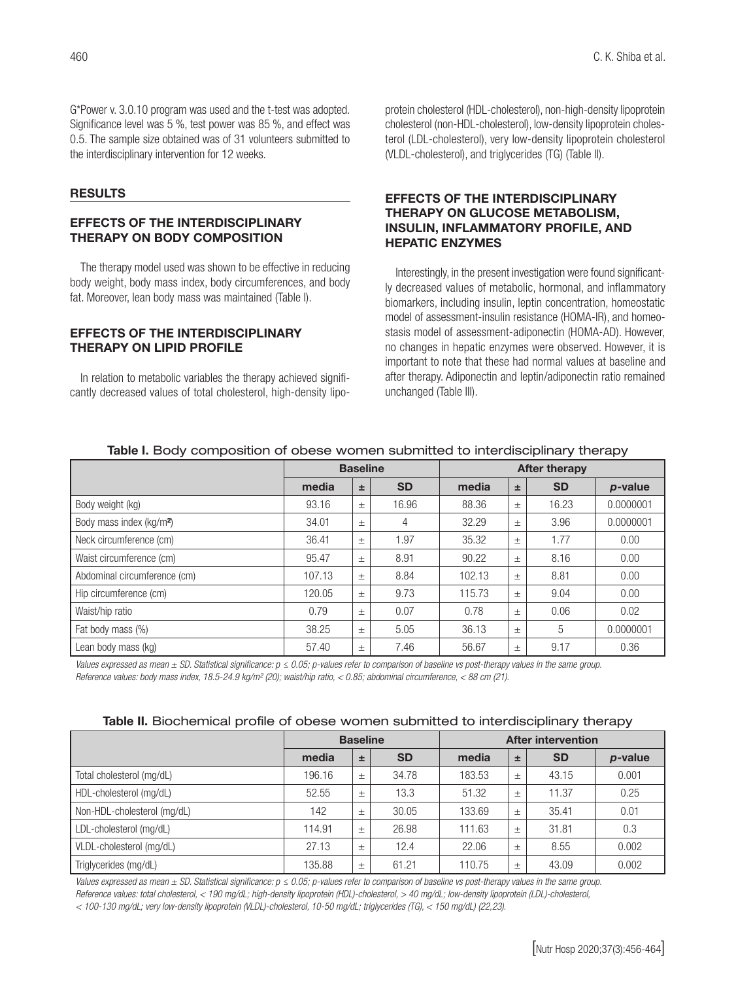G\*Power v. 3.0.10 program was used and the t-test was adopted. Significance level was 5 %, test power was 85 %, and effect was 0.5. The sample size obtained was of 31 volunteers submitted to the interdisciplinary intervention for 12 weeks.

#### RESULTS

# EFFECTS OF THE INTERDISCIPLINARY THERAPY ON BODY COMPOSITION

The therapy model used was shown to be effective in reducing body weight, body mass index, body circumferences, and body fat. Moreover, lean body mass was maintained (Table I).

#### EFFECTS OF THE INTERDISCIPLINARY THERAPY ON LIPID PROFILE

In relation to metabolic variables the therapy achieved significantly decreased values of total cholesterol, high-density lipoprotein cholesterol (HDL-cholesterol), non-high-density lipoprotein cholesterol (non-HDL-cholesterol), low-density lipoprotein cholesterol (LDL-cholesterol), very low-density lipoprotein cholesterol (VLDL-cholesterol), and triglycerides (TG) (Table II).

# EFFECTS OF THE INTERDISCIPLINARY THERAPY ON GLUCOSE METABOLISM, INSULIN, INFLAMMATORY PROFILE, AND HEPATIC ENZYMES

Interestingly, in the present investigation were found significantly decreased values of metabolic, hormonal, and inflammatory biomarkers, including insulin, leptin concentration, homeostatic model of assessment-insulin resistance (HOMA-IR), and homeostasis model of assessment-adiponectin (HOMA-AD). However, no changes in hepatic enzymes were observed. However, it is important to note that these had normal values at baseline and after therapy. Adiponectin and leptin/adiponectin ratio remained unchanged (Table III).

|                                      | <b>Baseline</b> |       |           | <b>After therapy</b> |       |           |            |  |
|--------------------------------------|-----------------|-------|-----------|----------------------|-------|-----------|------------|--|
|                                      | media           | 士     | <b>SD</b> | media                | ±.    | <b>SD</b> | $p$ -value |  |
| Body weight (kg)                     | 93.16           | 土     | 16.96     | 88.36                | $\pm$ | 16.23     | 0.0000001  |  |
| Body mass index (kg/m <sup>2</sup> ) | 34.01           | $\pm$ | 4         | 32.29                | $\pm$ | 3.96      | 0.0000001  |  |
| Neck circumference (cm)              | 36.41           | $\pm$ | 1.97      | 35.32                | $\pm$ | 1.77      | 0.00       |  |
| Waist circumference (cm)             | 95.47           | $\pm$ | 8.91      | 90.22                | $\pm$ | 8.16      | 0.00       |  |
| Abdominal circumference (cm)         | 107.13          | $\pm$ | 8.84      | 102.13               | $\pm$ | 8.81      | 0.00       |  |
| Hip circumference (cm)               | 120.05          | $\pm$ | 9.73      | 115.73               | $\pm$ | 9.04      | 0.00       |  |
| Waist/hip ratio                      | 0.79            | $\pm$ | 0.07      | 0.78                 | $\pm$ | 0.06      | 0.02       |  |
| Fat body mass (%)                    | 38.25           | $\pm$ | 5.05      | 36.13                | $\pm$ | 5         | 0.0000001  |  |
| Lean body mass (kg)                  | 57.40           | $\pm$ | 7.46      | 56.67                | $\pm$ | 9.17      | 0.36       |  |

#### Table I. Body composition of obese women submitted to interdisciplinary therapy

*Values expressed as mean ± SD. Statistical significance: p ≤ 0.05; p-values refer to comparison of baseline vs post-therapy values in the same group. Reference values: body mass index, 18.5-24.9 kg/m² (20); waist/hip ratio, < 0.85; abdominal circumference, < 88 cm (21).*

|  |  | Table II. Biochemical profile of obese women submitted to interdisciplinary therapy |  |  |  |  |  |  |
|--|--|-------------------------------------------------------------------------------------|--|--|--|--|--|--|
|--|--|-------------------------------------------------------------------------------------|--|--|--|--|--|--|

|                             | <b>Baseline</b> |       |           | <b>After intervention</b> |       |           |         |  |
|-----------------------------|-----------------|-------|-----------|---------------------------|-------|-----------|---------|--|
|                             | media           | 士     | <b>SD</b> | media                     | 土     | <b>SD</b> | p-value |  |
| Total cholesterol (mg/dL)   | 196.16          | 土     | 34.78     | 183.53                    | $\pm$ | 43.15     | 0.001   |  |
| HDL-cholesterol (mg/dL)     | 52.55           | 土     | 13.3      | 51.32                     | $\pm$ | 11.37     | 0.25    |  |
| Non-HDL-cholesterol (mg/dL) | 142             | 土     | 30.05     | 133.69                    | $\pm$ | 35.41     | 0.01    |  |
| LDL-cholesterol (mg/dL)     | 114.91          | $\pm$ | 26.98     | 111.63                    | $\pm$ | 31.81     | 0.3     |  |
| VLDL-cholesterol (mg/dL)    | 27.13           | 土     | 12.4      | 22.06                     | $\pm$ | 8.55      | 0.002   |  |
| Triglycerides (mg/dL)       | 135.88          | 土     | 61.21     | 110.75                    | $\pm$ | 43.09     | 0.002   |  |

*Values expressed as mean ± SD. Statistical significance: p ≤ 0.05; p-values refer to comparison of baseline vs post-therapy values in the same group. Reference values: total cholesterol, < 190 mg/dL; high-density lipoprotein (HDL)-cholesterol, > 40 mg/dL; low-density lipoprotein (LDL)-cholesterol, < 100-130 mg/dL; very low-density lipoprotein (VLDL)-cholesterol, 10-50 mg/dL; triglycerides (TG), < 150 mg/dL) (22,23).*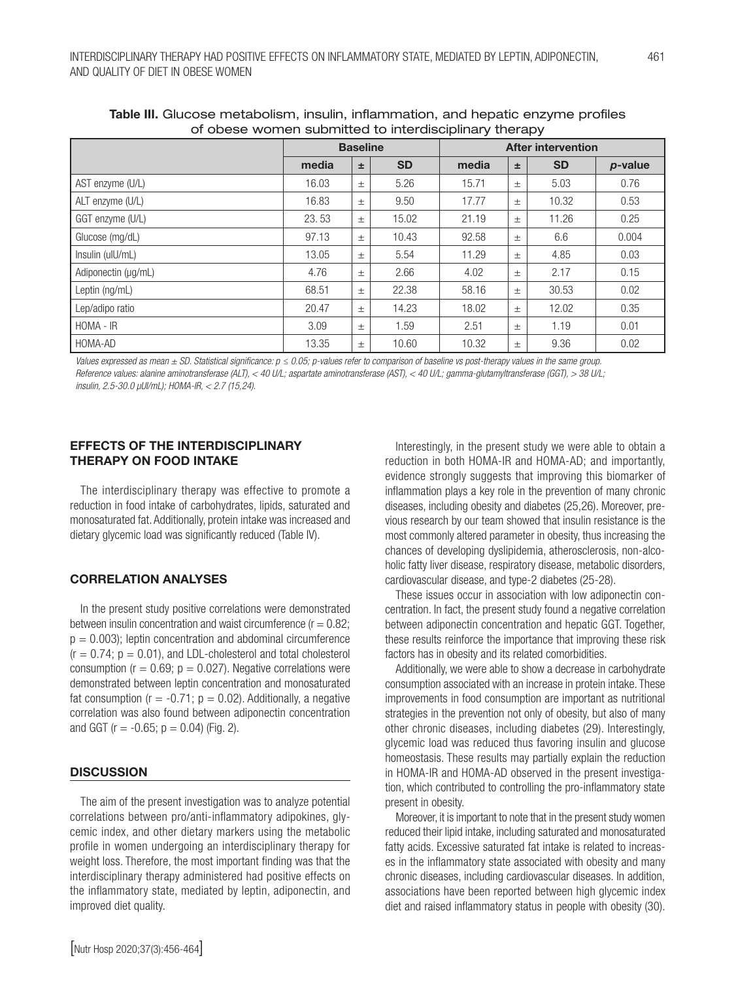| or obcoc worrion dabilittica to interalgebririary therapy |                 |       |           |                           |       |           |         |  |
|-----------------------------------------------------------|-----------------|-------|-----------|---------------------------|-------|-----------|---------|--|
|                                                           | <b>Baseline</b> |       |           | <b>After intervention</b> |       |           |         |  |
|                                                           | media           | 玉     | <b>SD</b> | media                     | ±.    | <b>SD</b> | p-value |  |
| AST enzyme (U/L)                                          | 16.03           | $\pm$ | 5.26      | 15.71                     | $\pm$ | 5.03      | 0.76    |  |
| ALT enzyme (U/L)                                          | 16.83           | $\pm$ | 9.50      | 17.77                     | $\pm$ | 10.32     | 0.53    |  |
| GGT enzyme (U/L)                                          | 23.53           | $\pm$ | 15.02     | 21.19                     | $\pm$ | 11.26     | 0.25    |  |
| Glucose (mg/dL)                                           | 97.13           | $\pm$ | 10.43     | 92.58                     | $\pm$ | 6.6       | 0.004   |  |
| Insulin (ulU/mL)                                          | 13.05           | $\pm$ | 5.54      | 11.29                     | $\pm$ | 4.85      | 0.03    |  |
| Adiponectin (µg/mL)                                       | 4.76            | $\pm$ | 2.66      | 4.02                      | $\pm$ | 2.17      | 0.15    |  |
| Leptin (ng/mL)                                            | 68.51           | $\pm$ | 22.38     | 58.16                     | $\pm$ | 30.53     | 0.02    |  |
| Lep/adipo ratio                                           | 20.47           | $\pm$ | 14.23     | 18.02                     | $\pm$ | 12.02     | 0.35    |  |
| HOMA - IR                                                 | 3.09            | $\pm$ | 1.59      | 2.51                      | $\pm$ | 1.19      | 0.01    |  |
| HOMA-AD                                                   | 13.35           | $\pm$ | 10.60     | 10.32                     | $\pm$ | 9.36      | 0.02    |  |

Table III. Glucose metabolism, insulin, inflammation, and hepatic enzyme profiles of obese women submitted to interdisciplinary therapy

*Values expressed as mean ± SD. Statistical significance: p ≤ 0.05; p-values refer to comparison of baseline vs post-therapy values in the same group. Reference values: alanine aminotransferase (ALT), < 40 U/L; aspartate aminotransferase (AST), < 40 U/L; gamma-glutamyltransferase (GGT), > 38 U/L; insulin, 2.5-30.0 µUI/mL); HOMA-IR, < 2.7 (15,24).*

# EFFECTS OF THE INTERDISCIPLINARY THERAPY ON FOOD INTAKE

The interdisciplinary therapy was effective to promote a reduction in food intake of carbohydrates, lipids, saturated and monosaturated fat. Additionally, protein intake was increased and dietary glycemic load was significantly reduced (Table IV).

## CORRELATION ANALYSES

In the present study positive correlations were demonstrated between insulin concentration and waist circumference  $(r = 0.82;$  $p = 0.003$ ; leptin concentration and abdominal circumference  $(r = 0.74; p = 0.01)$ , and LDL-cholesterol and total cholesterol consumption ( $r = 0.69$ ;  $p = 0.027$ ). Negative correlations were demonstrated between leptin concentration and monosaturated fat consumption ( $r = -0.71$ ;  $p = 0.02$ ). Additionally, a negative correlation was also found between adiponectin concentration and GGT ( $r = -0.65$ ;  $p = 0.04$ ) (Fig. 2).

# **DISCUSSION**

The aim of the present investigation was to analyze potential correlations between pro/anti-inflammatory adipokines, glycemic index, and other dietary markers using the metabolic profile in women undergoing an interdisciplinary therapy for weight loss. Therefore, the most important finding was that the interdisciplinary therapy administered had positive effects on the inflammatory state, mediated by leptin, adiponectin, and improved diet quality.

Interestingly, in the present study we were able to obtain a reduction in both HOMA-IR and HOMA-AD; and importantly, evidence strongly suggests that improving this biomarker of inflammation plays a key role in the prevention of many chronic diseases, including obesity and diabetes (25,26). Moreover, previous research by our team showed that insulin resistance is the most commonly altered parameter in obesity, thus increasing the chances of developing dyslipidemia, atherosclerosis, non-alcoholic fatty liver disease, respiratory disease, metabolic disorders, cardiovascular disease, and type-2 diabetes (25-28).

These issues occur in association with low adiponectin concentration. In fact, the present study found a negative correlation between adiponectin concentration and hepatic GGT. Together, these results reinforce the importance that improving these risk factors has in obesity and its related comorbidities.

Additionally, we were able to show a decrease in carbohydrate consumption associated with an increase in protein intake. These improvements in food consumption are important as nutritional strategies in the prevention not only of obesity, but also of many other chronic diseases, including diabetes (29). Interestingly, glycemic load was reduced thus favoring insulin and glucose homeostasis. These results may partially explain the reduction in HOMA-IR and HOMA-AD observed in the present investigation, which contributed to controlling the pro-inflammatory state present in obesity.

Moreover, it is important to note that in the present study women reduced their lipid intake, including saturated and monosaturated fatty acids. Excessive saturated fat intake is related to increases in the inflammatory state associated with obesity and many chronic diseases, including cardiovascular diseases. In addition, associations have been reported between high glycemic index diet and raised inflammatory status in people with obesity (30).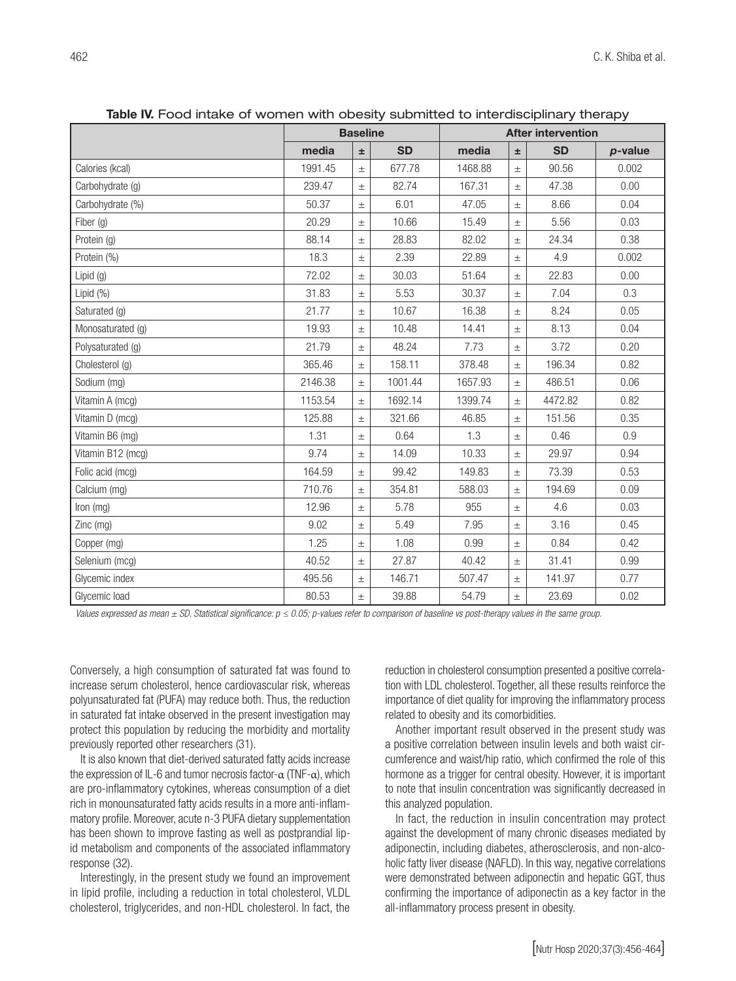|                   | <b>Baseline</b> |       |           | <b>CTR.</b> TOOG INTERNO OF WONTERT WITH ODOSITY SERVITIES OF A REFERENCING IN IT IS THOMAGY<br><b>After intervention</b> |       |           |            |
|-------------------|-----------------|-------|-----------|---------------------------------------------------------------------------------------------------------------------------|-------|-----------|------------|
|                   | media           | $\pm$ | <b>SD</b> | media                                                                                                                     | $\pm$ | <b>SD</b> | $p$ -value |
| Calories (kcal)   | 1991.45         | $\pm$ | 677.78    | 1468.88                                                                                                                   | $\pm$ | 90.56     | 0.002      |
| Carbohydrate (g)  | 239.47          | $\pm$ | 82.74     | 167.31                                                                                                                    | $\pm$ | 47.38     | 0.00       |
| Carbohydrate (%)  | 50.37           | $\pm$ | 6.01      | 47.05                                                                                                                     | $\pm$ | 8.66      | 0.04       |
| Fiber (g)         | 20.29           | $\pm$ | 10.66     | 15.49                                                                                                                     | $\pm$ | 5.56      | 0.03       |
| Protein (g)       | 88.14           | $\pm$ | 28.83     | 82.02                                                                                                                     | $\pm$ | 24.34     | 0.38       |
| Protein (%)       | 18.3            | $\pm$ | 2.39      | 22.89                                                                                                                     | $\pm$ | 4.9       | 0.002      |
| Lipid $(g)$       | 72.02           | $\pm$ | 30.03     | 51.64                                                                                                                     | $\pm$ | 22.83     | 0.00       |
| Lipid $(\%)$      | 31.83           | $\pm$ | 5.53      | 30.37                                                                                                                     | $\pm$ | 7.04      | 0.3        |
| Saturated (g)     | 21.77           | $\pm$ | 10.67     | 16.38                                                                                                                     | $\pm$ | 8.24      | 0.05       |
| Monosaturated (g) | 19.93           | $\pm$ | 10.48     | 14.41                                                                                                                     | $\pm$ | 8.13      | 0.04       |
| Polysaturated (g) | 21.79           | $\pm$ | 48.24     | 7.73                                                                                                                      | $\pm$ | 3.72      | 0.20       |
| Cholesterol (g)   | 365.46          | $\pm$ | 158.11    | 378.48                                                                                                                    | $\pm$ | 196.34    | 0.82       |
| Sodium (mg)       | 2146.38         | $\pm$ | 1001.44   | 1657.93                                                                                                                   | $\pm$ | 486.51    | 0.06       |
| Vitamin A (mcg)   | 1153.54         | $\pm$ | 1692.14   | 1399.74                                                                                                                   | $\pm$ | 4472.82   | 0.82       |
| Vitamin D (mcg)   | 125.88          | $\pm$ | 321.66    | 46.85                                                                                                                     | $\pm$ | 151.56    | 0.35       |
| Vitamin B6 (mg)   | 1.31            | $\pm$ | 0.64      | 1.3                                                                                                                       | $\pm$ | 0.46      | 0.9        |
| Vitamin B12 (mcg) | 9.74            | $\pm$ | 14.09     | 10.33                                                                                                                     | $\pm$ | 29.97     | 0.94       |
| Folic acid (mcg)  | 164.59          | $\pm$ | 99.42     | 149.83                                                                                                                    | $\pm$ | 73.39     | 0.53       |
| Calcium (mg)      | 710.76          | $\pm$ | 354.81    | 588.03                                                                                                                    | $\pm$ | 194.69    | 0.09       |
| Iron (mg)         | 12.96           | $\pm$ | 5.78      | 955                                                                                                                       | $\pm$ | 4.6       | 0.03       |
| Zinc (mg)         | 9.02            | $\pm$ | 5.49      | 7.95                                                                                                                      | $\pm$ | 3.16      | 0.45       |
| Copper (mg)       | 1.25            | $\pm$ | 1.08      | 0.99                                                                                                                      | $\pm$ | 0.84      | 0.42       |
| Selenium (mcg)    | 40.52           | $\pm$ | 27.87     | 40.42                                                                                                                     | $\pm$ | 31.41     | 0.99       |
| Glycemic index    | 495.56          | $\pm$ | 146.71    | 507.47                                                                                                                    | $\pm$ | 141.97    | 0.77       |
| Glycemic load     | 80.53           | $\pm$ | 39.88     | 54.79                                                                                                                     | $\pm$ | 23.69     | 0.02       |

Table IV. Food intake of women with obesity submitted to interdisciplinary therapy

*Values expressed as mean ± SD. Statistical significance: p ≤ 0.05; p-values refer to comparison of baseline vs post-therapy values in the same group.*

Conversely, a high consumption of saturated fat was found to increase serum cholesterol, hence cardiovascular risk, whereas polyunsaturated fat (PUFA) may reduce both. Thus, the reduction in saturated fat intake observed in the present investigation may protect this population by reducing the morbidity and mortality previously reported other researchers (31).

It is also known that diet-derived saturated fatty acids increase the expression of IL-6 and tumor necrosis factor- $\alpha$  (TNF- $\alpha$ ), which are pro-inflammatory cytokines, whereas consumption of a diet rich in monounsaturated fatty acids results in a more anti-inflammatory profile. Moreover, acute n-3 PUFA dietary supplementation has been shown to improve fasting as well as postprandial lipid metabolism and components of the associated inflammatory response (32).

Interestingly, in the present study we found an improvement in lipid profile, including a reduction in total cholesterol, VLDL cholesterol, triglycerides, and non-HDL cholesterol. In fact, the

reduction in cholesterol consumption presented a positive correlation with LDL cholesterol. Together, all these results reinforce the importance of diet quality for improving the inflammatory process related to obesity and its comorbidities.

Another important result observed in the present study was a positive correlation between insulin levels and both waist circumference and waist/hip ratio, which confirmed the role of this hormone as a trigger for central obesity. However, it is important to note that insulin concentration was significantly decreased in this analyzed population.

In fact, the reduction in insulin concentration may protect against the development of many chronic diseases mediated by adiponectin, including diabetes, atherosclerosis, and non-alcoholic fatty liver disease (NAFLD). In this way, negative correlations were demonstrated between adiponectin and hepatic GGT, thus confirming the importance of adiponectin as a key factor in the all-inflammatory process present in obesity.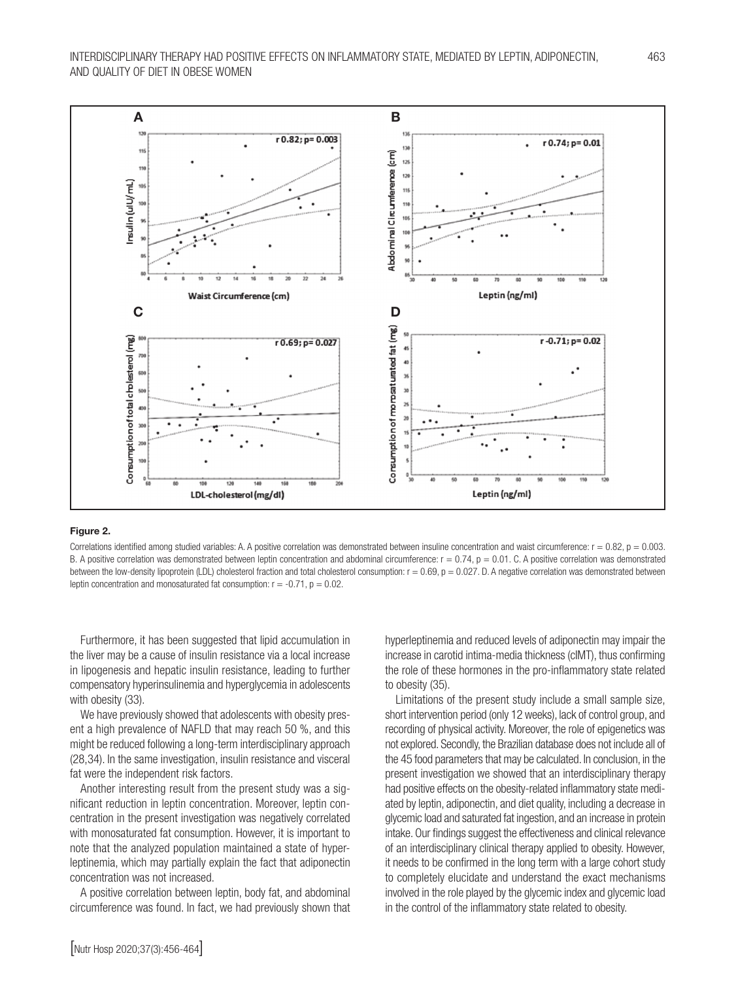

#### Figure 2.

Correlations identified among studied variables: A. A positive correlation was demonstrated between insuline concentration and waist circumference:  $r = 0.82$ ,  $p = 0.003$ . B. A positive correlation was demonstrated between leptin concentration and abdominal circumference:  $r = 0.74$ ,  $p = 0.01$ , C. A positive correlation was demonstrated between the low-density lipoprotein (LDL) cholesterol fraction and total cholesterol consumption:  $r = 0.69$ ,  $p = 0.027$ . D. A negative correlation was demonstrated between leptin concentration and monosaturated fat consumption:  $r = -0.71$ ,  $p = 0.02$ .

Furthermore, it has been suggested that lipid accumulation in the liver may be a cause of insulin resistance via a local increase in lipogenesis and hepatic insulin resistance, leading to further compensatory hyperinsulinemia and hyperglycemia in adolescents with obesity (33).

We have previously showed that adolescents with obesity present a high prevalence of NAFLD that may reach 50 %, and this might be reduced following a long-term interdisciplinary approach (28,34). In the same investigation, insulin resistance and visceral fat were the independent risk factors.

Another interesting result from the present study was a significant reduction in leptin concentration. Moreover, leptin concentration in the present investigation was negatively correlated with monosaturated fat consumption. However, it is important to note that the analyzed population maintained a state of hyperleptinemia, which may partially explain the fact that adiponectin concentration was not increased.

A positive correlation between leptin, body fat, and abdominal circumference was found. In fact, we had previously shown that

hyperleptinemia and reduced levels of adiponectin may impair the increase in carotid intima-media thickness (cIMT), thus confirming the role of these hormones in the pro-inflammatory state related to obesity (35).

Limitations of the present study include a small sample size, short intervention period (only 12 weeks), lack of control group, and recording of physical activity. Moreover, the role of epigenetics was not explored. Secondly, the Brazilian database does not include all of the 45 food parameters that may be calculated. In conclusion, in the present investigation we showed that an interdisciplinary therapy had positive effects on the obesity-related inflammatory state mediated by leptin, adiponectin, and diet quality, including a decrease in glycemic load and saturated fat ingestion, and an increase in protein intake. Our findings suggest the effectiveness and clinical relevance of an interdisciplinary clinical therapy applied to obesity. However, it needs to be confirmed in the long term with a large cohort study to completely elucidate and understand the exact mechanisms involved in the role played by the glycemic index and glycemic load in the control of the inflammatory state related to obesity.